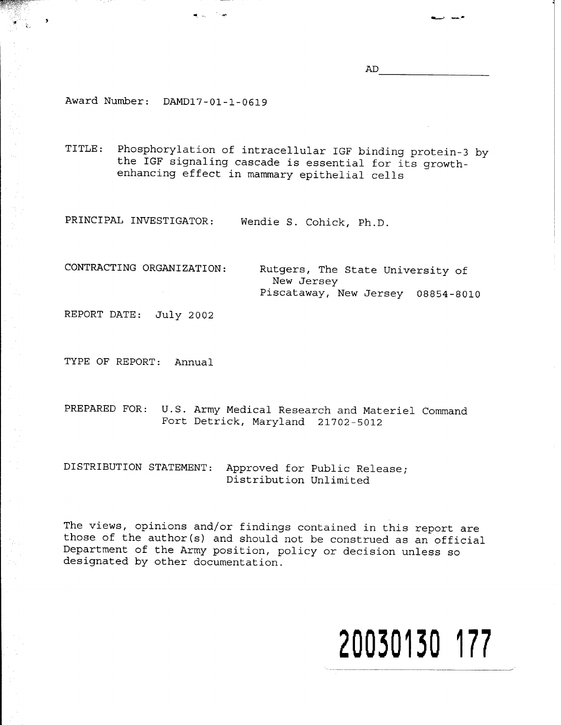AD

Award Number: DAMD17-01-1-0619

TITLE: Phosphorylation of intracellular IGF binding protein-3 by the IGF signaling cascade is essential for its growthenhancing effect in mammary epithelial cells

PRINCIPAL INVESTIGATOR: Wendie S. Cohick, Ph.D,

CONTRACTING ORGANIZATION:

Rutgers, The State University of New Jersey Piscataway, New Jersey 08854-8010

REPORT DATE: July 2002

TYPE OF REPORT: Annual

PREPARED FOR: U.S. Army Medical Research and Materiel Command Fort Detrick, Maryland 21702-5012

DISTRIBUTION STATEMENT: Approved for Public Release; Distribution Unlimited

The views, opinions and/or findings contained in this report are those of the author(s) and should not be construed as an official Department of the Army position, policy or decision unless so designated by other documentation.

# **20030130 177**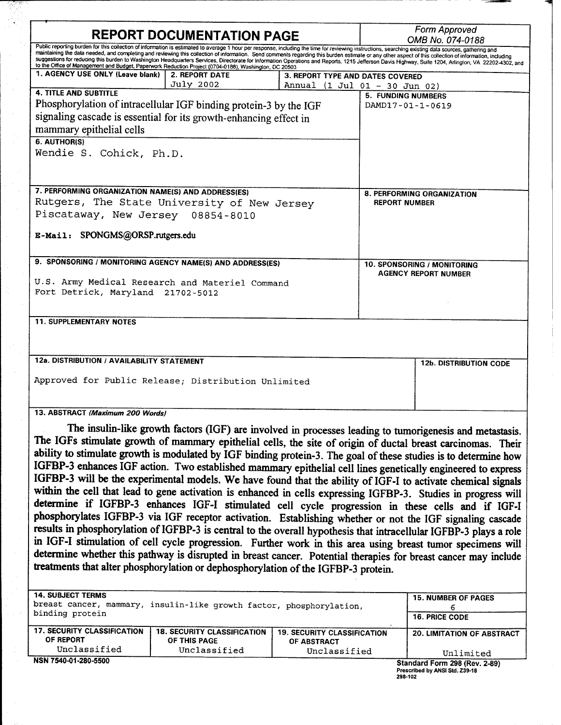| <b>REPORT DOCUMENTATION PAGE</b>                                                                                                                                                                                                                                                                                                                                                                                                                                                                                                                                                                                                                                                                                                   |                  |  | Form Approved<br>OMB No. 074-0188                          |                               |  |  |
|------------------------------------------------------------------------------------------------------------------------------------------------------------------------------------------------------------------------------------------------------------------------------------------------------------------------------------------------------------------------------------------------------------------------------------------------------------------------------------------------------------------------------------------------------------------------------------------------------------------------------------------------------------------------------------------------------------------------------------|------------------|--|------------------------------------------------------------|-------------------------------|--|--|
| Public reporting burden for this collection of information is estimated to average 1 hour per response, including the time for reviewing instructions, searching existing data sources, gathering and<br>maintaining the data needed, and completing and reviewing this collection of information. Send comments regarding this burden estimate or any other aspect of this collection of information, including<br>suggestions for reducing this burden to Washington Headquarters Services, Directorate for Information Operations and Reports, 1215 Jefferson Davis Highway, Suite 1204, Arlington, VA 22202-4302, and<br>to the Office of Management and Budget, Paperwork Reduction Project (0704-0188), Washington, DC 20503 |                  |  |                                                            |                               |  |  |
| 1. AGENCY USE ONLY (Leave blank)                                                                                                                                                                                                                                                                                                                                                                                                                                                                                                                                                                                                                                                                                                   | 2. REPORT DATE   |  | 3. REPORT TYPE AND DATES COVERED                           |                               |  |  |
|                                                                                                                                                                                                                                                                                                                                                                                                                                                                                                                                                                                                                                                                                                                                    | <b>July 2002</b> |  | Annual (1 Jul 01 - 30 Jun 02)                              |                               |  |  |
| <b>4. TITLE AND SUBTITLE</b>                                                                                                                                                                                                                                                                                                                                                                                                                                                                                                                                                                                                                                                                                                       |                  |  | <b>5. FUNDING NUMBERS</b>                                  |                               |  |  |
| Phosphorylation of intracellular IGF binding protein-3 by the IGF                                                                                                                                                                                                                                                                                                                                                                                                                                                                                                                                                                                                                                                                  |                  |  | DAMD17-01-1-0619                                           |                               |  |  |
| signaling cascade is essential for its growth-enhancing effect in                                                                                                                                                                                                                                                                                                                                                                                                                                                                                                                                                                                                                                                                  |                  |  |                                                            |                               |  |  |
| mammary epithelial cells                                                                                                                                                                                                                                                                                                                                                                                                                                                                                                                                                                                                                                                                                                           |                  |  |                                                            |                               |  |  |
| 6. AUTHORIS)                                                                                                                                                                                                                                                                                                                                                                                                                                                                                                                                                                                                                                                                                                                       |                  |  |                                                            |                               |  |  |
| Wendie S. Cohick, Ph.D.                                                                                                                                                                                                                                                                                                                                                                                                                                                                                                                                                                                                                                                                                                            |                  |  |                                                            |                               |  |  |
|                                                                                                                                                                                                                                                                                                                                                                                                                                                                                                                                                                                                                                                                                                                                    |                  |  |                                                            |                               |  |  |
|                                                                                                                                                                                                                                                                                                                                                                                                                                                                                                                                                                                                                                                                                                                                    |                  |  |                                                            |                               |  |  |
|                                                                                                                                                                                                                                                                                                                                                                                                                                                                                                                                                                                                                                                                                                                                    |                  |  |                                                            |                               |  |  |
| 7. PERFORMING ORGANIZATION NAME(S) AND ADDRESS(ES)                                                                                                                                                                                                                                                                                                                                                                                                                                                                                                                                                                                                                                                                                 |                  |  | 8. PERFORMING ORGANIZATION<br><b>REPORT NUMBER</b>         |                               |  |  |
| Rutgers, The State University of New Jersey                                                                                                                                                                                                                                                                                                                                                                                                                                                                                                                                                                                                                                                                                        |                  |  |                                                            |                               |  |  |
| Piscataway, New Jersey 08854-8010                                                                                                                                                                                                                                                                                                                                                                                                                                                                                                                                                                                                                                                                                                  |                  |  |                                                            |                               |  |  |
|                                                                                                                                                                                                                                                                                                                                                                                                                                                                                                                                                                                                                                                                                                                                    |                  |  |                                                            |                               |  |  |
| E-Mail: SPONGMS@ORSP.rutgers.edu                                                                                                                                                                                                                                                                                                                                                                                                                                                                                                                                                                                                                                                                                                   |                  |  |                                                            |                               |  |  |
|                                                                                                                                                                                                                                                                                                                                                                                                                                                                                                                                                                                                                                                                                                                                    |                  |  |                                                            |                               |  |  |
| 9. SPONSORING / MONITORING AGENCY NAME(S) AND ADDRESS(ES)                                                                                                                                                                                                                                                                                                                                                                                                                                                                                                                                                                                                                                                                          |                  |  |                                                            |                               |  |  |
|                                                                                                                                                                                                                                                                                                                                                                                                                                                                                                                                                                                                                                                                                                                                    |                  |  | 10. SPONSORING / MONITORING<br><b>AGENCY REPORT NUMBER</b> |                               |  |  |
| U.S. Army Medical Research and Materiel Command                                                                                                                                                                                                                                                                                                                                                                                                                                                                                                                                                                                                                                                                                    |                  |  |                                                            |                               |  |  |
| Fort Detrick, Maryland 21702-5012                                                                                                                                                                                                                                                                                                                                                                                                                                                                                                                                                                                                                                                                                                  |                  |  |                                                            |                               |  |  |
|                                                                                                                                                                                                                                                                                                                                                                                                                                                                                                                                                                                                                                                                                                                                    |                  |  |                                                            |                               |  |  |
|                                                                                                                                                                                                                                                                                                                                                                                                                                                                                                                                                                                                                                                                                                                                    |                  |  |                                                            |                               |  |  |
| <b>11. SUPPLEMENTARY NOTES</b>                                                                                                                                                                                                                                                                                                                                                                                                                                                                                                                                                                                                                                                                                                     |                  |  |                                                            |                               |  |  |
|                                                                                                                                                                                                                                                                                                                                                                                                                                                                                                                                                                                                                                                                                                                                    |                  |  |                                                            |                               |  |  |
|                                                                                                                                                                                                                                                                                                                                                                                                                                                                                                                                                                                                                                                                                                                                    |                  |  |                                                            |                               |  |  |
| 12a. DISTRIBUTION / AVAILABILITY STATEMENT                                                                                                                                                                                                                                                                                                                                                                                                                                                                                                                                                                                                                                                                                         |                  |  |                                                            | <b>12b. DISTRIBUTION CODE</b> |  |  |
|                                                                                                                                                                                                                                                                                                                                                                                                                                                                                                                                                                                                                                                                                                                                    |                  |  |                                                            |                               |  |  |
| Approved for Public Release; Distribution Unlimited                                                                                                                                                                                                                                                                                                                                                                                                                                                                                                                                                                                                                                                                                |                  |  |                                                            |                               |  |  |
|                                                                                                                                                                                                                                                                                                                                                                                                                                                                                                                                                                                                                                                                                                                                    |                  |  |                                                            |                               |  |  |
|                                                                                                                                                                                                                                                                                                                                                                                                                                                                                                                                                                                                                                                                                                                                    |                  |  |                                                            |                               |  |  |

**13. ABSTRACT** *(Maximum 200 Words)*

The insulin-like growth factors (IGF) are involved in processes leading to tumorigenesis and metastasis. The IGFs stimulate growth of mammary epithelial cells, the site of origin of ductal breast carcinomas. Their ability to stimulate growth is modulated by IGF binding protein-3. The goal of these studies is to determine how IGFBP-3 enhances IGF action. Two established mammary epithelial cell lines genetically engineered to express IGFBP-3 will be the experimental models. We have found that the ability of IGF-I to activate chemical signals within the cell that lead to gene activation is enhanced in cells expressing IGFBP-3. Studies in progress will determine if IGFBP-3 enhances IGF-I stimulated cell cycle progression in these cells and if IGF-I phosphorylates IGFBP-3 via IGF receptor activation. Establishing whether or not the IGF signaling cascade results in phosphorylation of IGFBP-3 is central to the overall hypothesis that intracellular IGFBP-3 plays a role in IGF-I stimulation of cell cycle progression. Further work in this area using breast tumor specimens will determine whether this pathway is disrupted in breast cancer. Potential therapies for breast cancer may include treatments that alter phosphorylation or dephosphorylation of the IGFBP-3 protein.

| <b>14. SUBJECT TERMS</b><br>binding protein                     | breast cancer, mammary, insulin-like growth factor, phosphorylation, | <b>15. NUMBER OF PAGES</b><br><b>16. PRICE CODE</b>               |                                                |
|-----------------------------------------------------------------|----------------------------------------------------------------------|-------------------------------------------------------------------|------------------------------------------------|
| <b>17. SECURITY CLASSIFICATION</b><br>OF REPORT<br>Unclassified | <b>18. SECURITY CLASSIFICATION</b><br>OF THIS PAGE<br>Unclassified   | <b>19. SECURITY CLASSIFICATION</b><br>OF ABSTRACT<br>Unclassified | <b>20. LIMITATION OF ABSTRACT</b><br>Unlimited |
| NSN 7540-01-280-5500                                            |                                                                      |                                                                   | Standard Form 298 (Rev. 2-89)                  |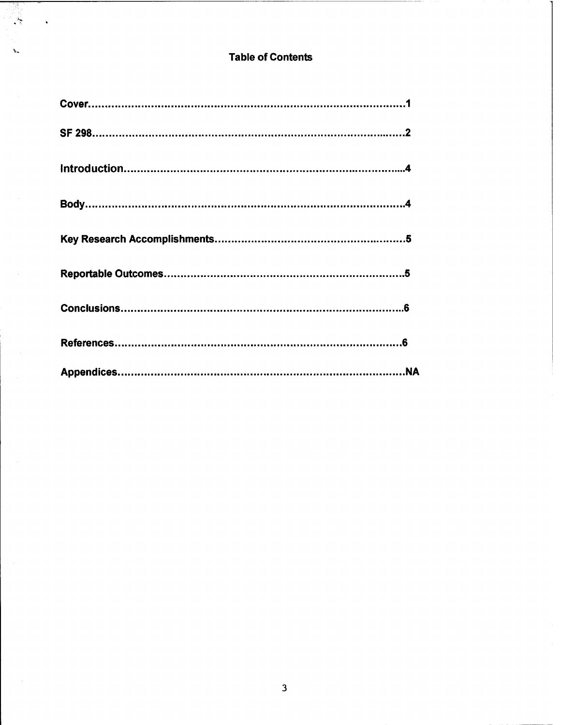## **Table of Contents**

93,  $\frac{1}{2}$ 

٧.

 $\ddot{\phantom{0}}$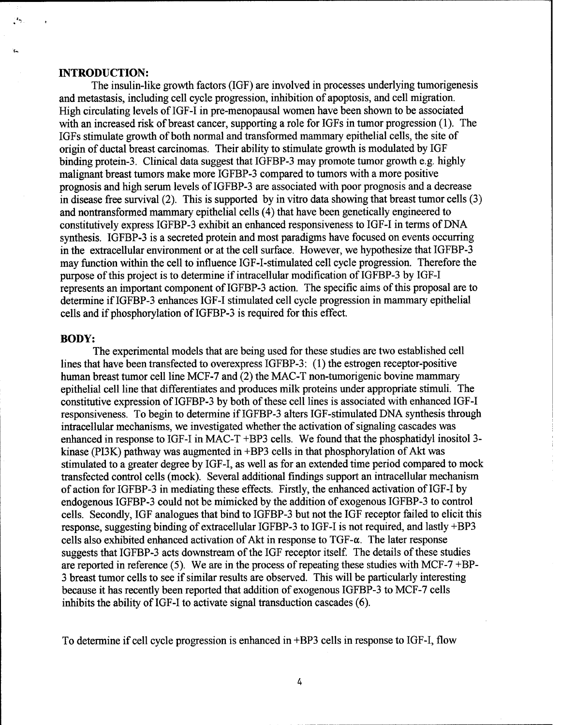#### **INTRODUCTION:**

The insulin-like growth factors (IGF) are involved in processes underlying tumorigenesis and metastasis, including cell cycle progression, inhibition of apoptosis, and cell migration. High circulating levels of IGF-I in pre-menopausal women have been shown to be associated with an increased risk of breast cancer, supporting a role for IGFs in tumor progression (1). The IGFs stimulate growth of both normal and transformed mammary epithelial cells, the site of origin of ductal breast carcinomas. Their ability to stimulate growth is modulated by IGF binding protein-3. Clinical data suggest that IGFBP-3 may promote tumor growth e.g. highly malignant breast tumors make more IGFBP-3 compared to tumors with a more positive prognosis and high serum levels of IGFBP-3 are associated with poor prognosis and a decrease in disease free survival (2). This is supported by in vitro data showing that breast tumor cells (3) and nontransformed mammary epithelial cells (4) that have been genetically engineered to constitutively express IGFBP-3 exhibit an enhanced responsiveness to IGF-I in terms of DNA synthesis. IGFBP-3 is a secreted protein and most paradigms have focused on events occurring in the extracellular environment or at the cell surface. However, we hypothesize that IGFBP-3 may function within the cell to influence IGF-I-stimulated cell cycle progression. Therefore the purpose of this project is to determine if intracellular modification of IGFBP-3 by IGF-I represents an important component of IGFBP-3 action. The specific aims of this proposal are to determine if IGFBP-3 enhances IGF-I stimulated cell cycle progression in mammary epithelial cells and if phosphorylation of IGFBP-3 is required for this effect.

### **BODY:**

The experimental models that are being used for these studies are two established cell lines that have been transfected to overexpress IGFBP-3: (1) the estrogen receptor-positive human breast tumor cell line MCF-7 and (2) the MAC-T non-tumorigenic bovine mammary epithelial cell line that differentiates and produces milk proteins under appropriate stimuli. The constitutive expression of IGFBP-3 by both of these cell lines is associated with enhanced IGF-I responsiveness. To begin to determine if IGFBP-3 alters IGF-stimulated DNA synthesis through intracellular mechanisms, we investigated whether the activation of signaling cascades was enhanced in response to IGF-I in MAC-T +BP3 cells. We found that the phosphatidyl inositol 3 kinase (PI3K) pathway was augmented in  $+BP3$  cells in that phosphorylation of Akt was stimulated to a greater degree by IGF-I, as well as for an extended time period compared to mock transfected control cells (mock). Several additional findings support an intracellular mechanism of action for IGFBP-3 in mediating these effects. Firstly, the enhanced activation ofIGF-I by endogenous IGFBP-3 could not be mimicked by the addition of exogenous IGFBP-3 to control cells. Secondly, IGF analogues that bind to IGFBP-3 but not the IGF receptor failed to elicit this response, suggesting binding of extracellular IGFBP-3 to IGF-I is not required, and lastly +BP3 cells also exhibited enhanced activation of Akt in response to  $TGF-\alpha$ . The later response suggests that IGFBP-3 acts downstream of the IGF receptor itself. The details of these studies are reported in reference  $(5)$ . We are in the process of repeating these studies with MCF-7+BP-3 breast tumor cells to see if similar results are observed. This will be particularly interesting because it has recently been reported that addition of exogenous IGFBP-3 to MCF-7 cells inhibits the ability of IGF-I to activate signal transduction cascades (6).

To determine if cell cycle progression is enhanced in +BP3 cells in response to IGF-I, flow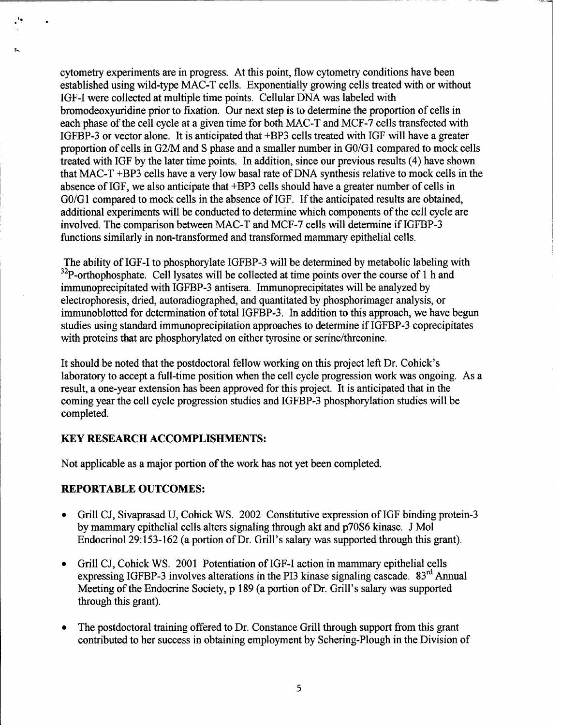cytometry experiments are in progress. At this point, flow cytometry conditions have been established using wild-type MAC-T cells. Exponentially growing cells treated with or without IGF-I were collected at multiple time points. Cellular DNA was labeled with bromodeoxyuridine prior to fixation. Our next step is to determine the proportion of cells in each phase of the cell cycle at a given time for both MAC-T and MCF-7 cells transfected with IGFBP-3 or vector alone. It is anticipated that +BP3 cells treated with IGF will have a greater proportion of cells in G2/M and S phase and a smaller number in G0/G1 compared to mock cells treated with IGF by the later time points. In addition, since our previous results (4) have shown that MAC- $T$  +BP3 cells have a very low basal rate of DNA synthesis relative to mock cells in the absence of IGF, we also anticipate that +BP3 cells should have a greater number of cells in G0/G1 compared to mock cells in the absence of IGF. If the anticipated results are obtained, additional experiments will be conducted to determine which components of the cell cycle are involved. The comparison between MAC-T and MCF-7 cells will determine if IGFBP-3 functions similarly in non-transformed and transformed mammary epithelial cells.

The ability of IGF-I to phosphorylate IGFBP-3 will be determined by metabolic labeling with  $32P$ -orthophosphate. Cell lysates will be collected at time points over the course of 1 h and immunoprecipitated with IGFBP-3 antisera. Immunoprecipitates will be analyzed by electrophoresis, dried, autoradiographed, and quantitated by phosphorimager analysis, or immunoblotted for determination of total IGFBP-3. In addition to this approach, we have begun studies using standard immunoprecipitation approaches to determine if IGFBP-3 coprecipitates with proteins that are phosphorylated on either tyrosine or serine/threonine.

It should be noted that the postdoctoral fellow working on this project left Dr. Cohick's laboratory to accept a full-time position when the cell cycle progression work was ongoing. As a result, a one-year extension has been approved for this project. It is anticipated that in the coming year the cell cycle progression studies and IGFBP-3 phosphorylation studies will be completed.

## **KEY RESEARCH ACCOMPLISHMENTS:**

Not applicable as a major portion of the work has not yet been completed.

## **REPORTABLE OUTCOMES:**

- Grill CJ, Sivaprasad U, Cohick WS. 2002 Constitutive expression of IGF binding protein-3 by mammary epithelial cells alters signaling through akt and p70S6 kinase. J Mol Endocrinol 29:153-162 (a portion of Dr. Grill's salary was supported through this grant).
- Grill CJ, Cohick WS. 2001 Potentiation of IGF-I action in mammary epithelial cells expressing IGFBP-3 involves alterations in the PI3 kinase signaling cascade.  $83<sup>rd</sup>$  Annual Meeting of the Endocrine Society, p 189 (a portion of Dr. Grill's salary was supported through this grant).
- **•** The postdoctoral training offered to Dr. Constance Grill through support from this grant contributed to her success in obtaining employment by Schering-Plough in the Division of